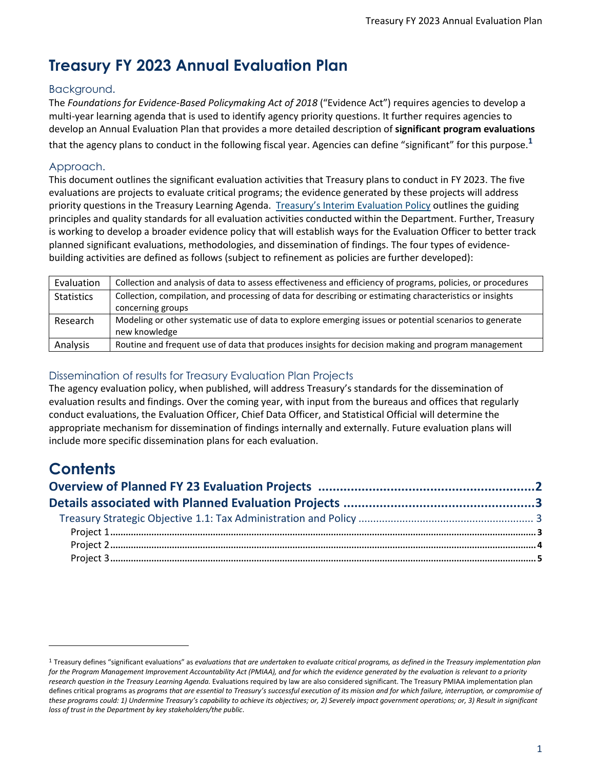# **Treasury FY 2023 Annual Evaluation Plan**

## Background.

The *Foundations for Evidence-Based Policymaking Act of 2018* ("Evidence Act") requires agencies to develop a multi-year learning agenda that is used to identify agency priority questions. It further requires agencies to develop an Annual Evaluation Plan that provides a more detailed description of **significant program evaluations** that the agency plans to conduct in the following fiscal year. Agencies can define "significant" for this purpose. **1**

## Approach.

This document outlines the significant evaluation activities that Treasury plans to conduct in FY 2023. The five evaluations are projects to evaluate critical programs; the evidence generated by these projects will address priority questions in the Treasury Learning Agenda. Treasury's [Interim Evaluation Policy](https://home.treasury.gov/system/files/266/Interim-Evaluation-Policy.pdf) outlines the guiding principles and quality standards for all evaluation activities conducted within the Department. Further, Treasury is working to develop a broader evidence policy that will establish ways for the Evaluation Officer to better track planned significant evaluations, methodologies, and dissemination of findings. The four types of evidencebuilding activities are defined as follows (subject to refinement as policies are further developed):

| Evaluation        | Collection and analysis of data to assess effectiveness and efficiency of programs, policies, or procedures |
|-------------------|-------------------------------------------------------------------------------------------------------------|
| <b>Statistics</b> | Collection, compilation, and processing of data for describing or estimating characteristics or insights    |
|                   | concerning groups                                                                                           |
| Research          | Modeling or other systematic use of data to explore emerging issues or potential scenarios to generate      |
|                   | new knowledge                                                                                               |
| Analysis          | Routine and frequent use of data that produces insights for decision making and program management          |

## Dissemination of results for Treasury Evaluation Plan Projects

The agency evaluation policy, when published, will address Treasury's standards for the dissemination of evaluation results and findings. Over the coming year, with input from the bureaus and offices that regularly conduct evaluations, the Evaluation Officer, Chief Data Officer, and Statistical Official will determine the appropriate mechanism for dissemination of findings internally and externally. Future evaluation plans will include more specific dissemination plans for each evaluation.

## **Contents**

<sup>1</sup> Treasury defines "significant evaluations" as *evaluations that are undertaken to evaluate critical programs, as defined in the Treasury implementation plan for the Program Management Improvement Accountability Act (PMIAA), and for which the evidence generated by the evaluation is relevant to a priority research question in the Treasury Learning Agenda.* Evaluations required by law are also considered significant. The Treasury PMIAA implementation plan defines critical programs as *programs that are essential to Treasury's successful execution of its mission and for which failure, interruption, or compromise of*  these programs could: 1) Undermine Treasury's capability to achieve its objectives; or, 2) Severely impact government operations; or, 3) Result in significant *loss of trust in the Department by key stakeholders/the public*.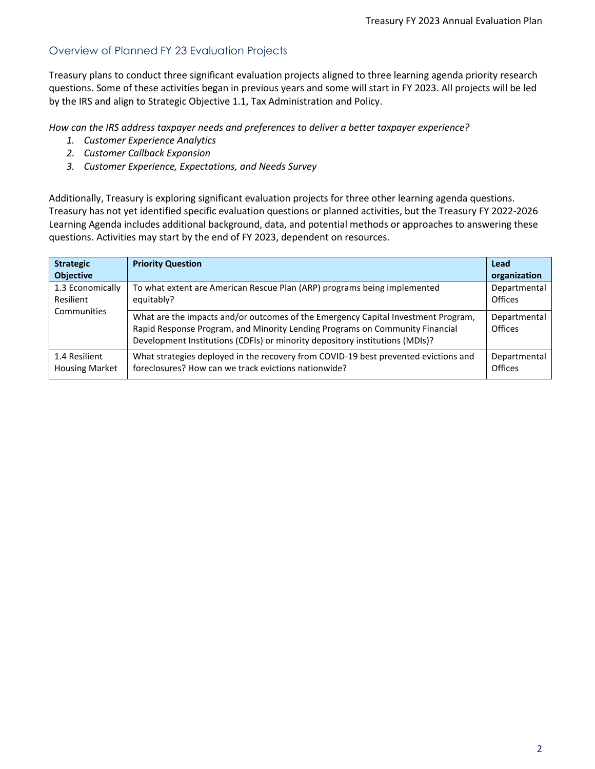## Overview of Planned FY 23 Evaluation Projects

Treasury plans to conduct three significant evaluation projects aligned to three learning agenda priority research questions. Some of these activities began in previous years and some will start in FY 2023. All projects will be led by the IRS and align to Strategic Objective 1.1, Tax Administration and Policy.

*How can the IRS address taxpayer needs and preferences to deliver a better taxpayer experience?* 

- *1. Customer Experience Analytics*
- *2. Customer Callback Expansion*
- *3. Customer Experience, Expectations, and Needs Survey*

Additionally, Treasury is exploring significant evaluation projects for three other learning agenda questions. Treasury has not yet identified specific evaluation questions or planned activities, but the Treasury FY 2022-2026 Learning Agenda includes additional background, data, and potential methods or approaches to answering these questions. Activities may start by the end of FY 2023, dependent on resources.

| <b>Strategic</b>                             | <b>Priority Question</b>                                                                                                                                                                                                                          | Lead                           |
|----------------------------------------------|---------------------------------------------------------------------------------------------------------------------------------------------------------------------------------------------------------------------------------------------------|--------------------------------|
| <b>Objective</b>                             |                                                                                                                                                                                                                                                   | organization                   |
| 1.3 Economically<br>Resilient<br>Communities | To what extent are American Rescue Plan (ARP) programs being implemented<br>equitably?                                                                                                                                                            | Departmental<br>Offices        |
|                                              | What are the impacts and/or outcomes of the Emergency Capital Investment Program,<br>Rapid Response Program, and Minority Lending Programs on Community Financial<br>Development Institutions (CDFIs) or minority depository institutions (MDIs)? | Departmental<br><b>Offices</b> |
| 1.4 Resilient<br><b>Housing Market</b>       | What strategies deployed in the recovery from COVID-19 best prevented evictions and<br>foreclosures? How can we track evictions nationwide?                                                                                                       | Departmental<br><b>Offices</b> |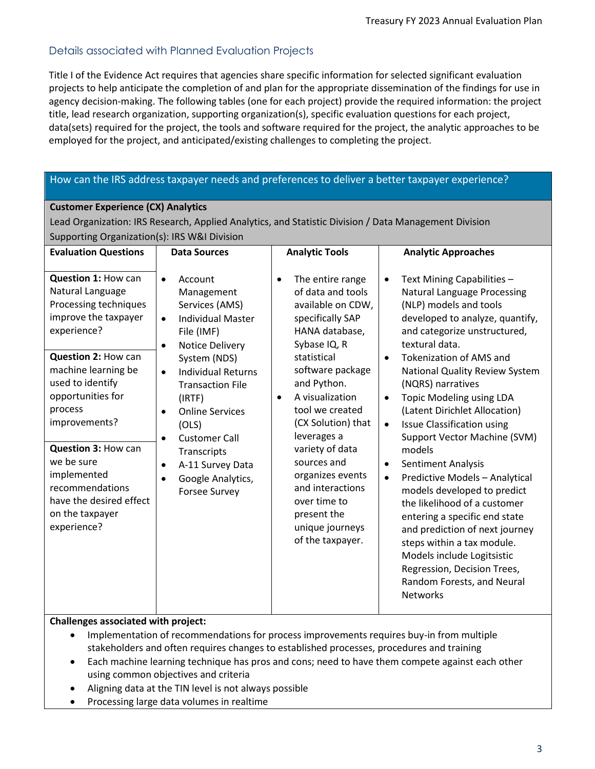## Details associated with Planned Evaluation Projects

Title I of the Evidence Act requires that agencies share specific information for selected significant evaluation projects to help anticipate the completion of and plan for the appropriate dissemination of the findings for use in agency decision-making. The following tables (one for each project) provide the required information: the project title, lead research organization, supporting organization(s), specific evaluation questions for each project, data(sets) required for the project, the tools and software required for the project, the analytic approaches to be employed for the project, and anticipated/existing challenges to completing the project.

## How can the IRS address taxpayer needs and preferences to deliver a better taxpayer experience?

| <b>Customer Experience (CX) Analytics</b>                                                                                             |                                                                                                                                                                                                                                                                                                                                                                                                                                           |                                                                                                                                                                                                                                                                         |                                                                                                                                                                                                                                                                                                                                                                        |  |
|---------------------------------------------------------------------------------------------------------------------------------------|-------------------------------------------------------------------------------------------------------------------------------------------------------------------------------------------------------------------------------------------------------------------------------------------------------------------------------------------------------------------------------------------------------------------------------------------|-------------------------------------------------------------------------------------------------------------------------------------------------------------------------------------------------------------------------------------------------------------------------|------------------------------------------------------------------------------------------------------------------------------------------------------------------------------------------------------------------------------------------------------------------------------------------------------------------------------------------------------------------------|--|
| Lead Organization: IRS Research, Applied Analytics, and Statistic Division / Data Management Division                                 |                                                                                                                                                                                                                                                                                                                                                                                                                                           |                                                                                                                                                                                                                                                                         |                                                                                                                                                                                                                                                                                                                                                                        |  |
| Supporting Organization(s): IRS W&I Division                                                                                          |                                                                                                                                                                                                                                                                                                                                                                                                                                           |                                                                                                                                                                                                                                                                         |                                                                                                                                                                                                                                                                                                                                                                        |  |
| <b>Evaluation Questions</b>                                                                                                           | <b>Data Sources</b>                                                                                                                                                                                                                                                                                                                                                                                                                       | <b>Analytic Tools</b>                                                                                                                                                                                                                                                   | <b>Analytic Approaches</b>                                                                                                                                                                                                                                                                                                                                             |  |
| Question 1: How can<br>Natural Language<br>Processing techniques<br>improve the taxpayer<br>experience?<br><b>Question 2: How can</b> | Account<br>$\bullet$<br>Management<br>Services (AMS)<br><b>Individual Master</b><br>$\bullet$<br>File (IMF)<br>Notice Delivery<br>$\bullet$<br>System (NDS)<br><b>Individual Returns</b><br>$\bullet$<br><b>Transaction File</b><br>(IRTF)<br><b>Online Services</b><br>$\bullet$<br>(OLS)<br><b>Customer Call</b><br>$\bullet$<br>Transcripts<br>A-11 Survey Data<br>$\bullet$<br>Google Analytics,<br>$\bullet$<br><b>Forsee Survey</b> | The entire range<br>$\bullet$<br>of data and tools<br>available on CDW,<br>specifically SAP<br>HANA database,<br>Sybase IQ, R<br>statistical<br>software package<br>and Python.<br>A visualization<br>$\bullet$<br>tool we created<br>(CX Solution) that<br>leverages a | Text Mining Capabilities -<br>$\bullet$<br><b>Natural Language Processing</b><br>(NLP) models and tools<br>developed to analyze, quantify,<br>and categorize unstructured,<br>textural data.<br><b>Tokenization of AMS and</b><br>$\bullet$                                                                                                                            |  |
| machine learning be<br>used to identify<br>opportunities for<br>process<br>improvements?                                              |                                                                                                                                                                                                                                                                                                                                                                                                                                           |                                                                                                                                                                                                                                                                         | National Quality Review System<br>(NQRS) narratives<br><b>Topic Modeling using LDA</b><br>$\bullet$<br>(Latent Dirichlet Allocation)<br><b>Issue Classification using</b><br>$\bullet$<br>Support Vector Machine (SVM)                                                                                                                                                 |  |
| Question 3: How can<br>we be sure<br>implemented<br>recommendations<br>have the desired effect<br>on the taxpayer<br>experience?      |                                                                                                                                                                                                                                                                                                                                                                                                                                           | variety of data<br>sources and<br>organizes events<br>and interactions<br>over time to<br>present the<br>unique journeys<br>of the taxpayer.                                                                                                                            | models<br>Sentiment Analysis<br>$\bullet$<br>Predictive Models - Analytical<br>$\bullet$<br>models developed to predict<br>the likelihood of a customer<br>entering a specific end state<br>and prediction of next journey<br>steps within a tax module.<br>Models include Logitsistic<br>Regression, Decision Trees,<br>Random Forests, and Neural<br><b>Networks</b> |  |

## **Challenges associated with project:**

- Implementation of recommendations for process improvements requires buy-in from multiple stakeholders and often requires changes to established processes, procedures and training
- Each machine learning technique has pros and cons; need to have them compete against each other using common objectives and criteria
- Aligning data at the TIN level is not always possible
- Processing large data volumes in realtime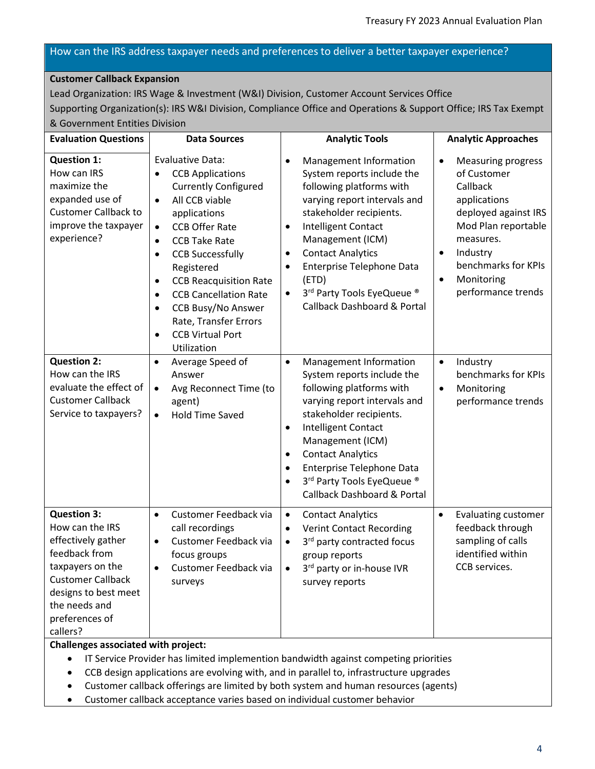#### How can the IRS address taxpayer needs and preferences to deliver a better taxpayer experience?

#### **Customer Callback Expansion**

Lead Organization: IRS Wage & Investment (W&I) Division, Customer Account Services Office

Supporting Organization(s): IRS W&I Division, Compliance Office and Operations & Support Office; IRS Tax Exempt & Government Entities Division

| <b>Evaluation Questions</b>                                                                                                                                                                         | <b>Data Sources</b>                                                                                                                                                                                                                                                                                                                                                                                                                                                                                 | <b>Analytic Tools</b>                                                                                                                                                                                                                                                                                                                                                                | <b>Analytic Approaches</b>                                                                                                                                                                                                                     |
|-----------------------------------------------------------------------------------------------------------------------------------------------------------------------------------------------------|-----------------------------------------------------------------------------------------------------------------------------------------------------------------------------------------------------------------------------------------------------------------------------------------------------------------------------------------------------------------------------------------------------------------------------------------------------------------------------------------------------|--------------------------------------------------------------------------------------------------------------------------------------------------------------------------------------------------------------------------------------------------------------------------------------------------------------------------------------------------------------------------------------|------------------------------------------------------------------------------------------------------------------------------------------------------------------------------------------------------------------------------------------------|
| <b>Question 1:</b><br>How can IRS<br>maximize the<br>expanded use of<br><b>Customer Callback to</b><br>improve the taxpayer<br>experience?                                                          | <b>Evaluative Data:</b><br><b>CCB Applications</b><br>$\bullet$<br><b>Currently Configured</b><br>All CCB viable<br>$\bullet$<br>applications<br><b>CCB Offer Rate</b><br>$\bullet$<br><b>CCB Take Rate</b><br>$\bullet$<br><b>CCB Successfully</b><br>$\bullet$<br>Registered<br><b>CCB Reacquisition Rate</b><br>$\bullet$<br><b>CCB Cancellation Rate</b><br>$\bullet$<br><b>CCB Busy/No Answer</b><br>$\bullet$<br>Rate, Transfer Errors<br><b>CCB Virtual Port</b><br>$\bullet$<br>Utilization | Management Information<br>System reports include the<br>following platforms with<br>varying report intervals and<br>stakeholder recipients.<br>Intelligent Contact<br>$\bullet$<br>Management (ICM)<br><b>Contact Analytics</b><br>$\bullet$<br>Enterprise Telephone Data<br>$\bullet$<br>(ETD)<br>3rd Party Tools EyeQueue ®<br>$\bullet$<br><b>Callback Dashboard &amp; Portal</b> | <b>Measuring progress</b><br>$\bullet$<br>of Customer<br>Callback<br>applications<br>deployed against IRS<br>Mod Plan reportable<br>measures.<br>Industry<br>$\bullet$<br>benchmarks for KPIs<br>Monitoring<br>$\bullet$<br>performance trends |
| <b>Question 2:</b><br>How can the IRS<br>evaluate the effect of<br><b>Customer Callback</b><br>Service to taxpayers?                                                                                | Average Speed of<br>$\bullet$<br>Answer<br>Avg Reconnect Time (to<br>$\bullet$<br>agent)<br><b>Hold Time Saved</b><br>$\bullet$                                                                                                                                                                                                                                                                                                                                                                     | Management Information<br>$\bullet$<br>System reports include the<br>following platforms with<br>varying report intervals and<br>stakeholder recipients.<br>Intelligent Contact<br>Management (ICM)<br><b>Contact Analytics</b><br>$\bullet$<br>Enterprise Telephone Data<br>$\bullet$<br>3rd Party Tools EyeQueue ®<br>$\bullet$<br><b>Callback Dashboard &amp; Portal</b>          | $\bullet$<br>Industry<br>benchmarks for KPIs<br>Monitoring<br>$\bullet$<br>performance trends                                                                                                                                                  |
| <b>Question 3:</b><br>How can the IRS<br>effectively gather<br>feedback from<br>taxpayers on the<br><b>Customer Callback</b><br>designs to best meet<br>the needs and<br>preferences of<br>callers? | Customer Feedback via<br>$\bullet$<br>call recordings<br>Customer Feedback via<br>$\bullet$<br>focus groups<br>Customer Feedback via<br>surveys                                                                                                                                                                                                                                                                                                                                                     | <b>Contact Analytics</b><br>$\bullet$<br><b>Verint Contact Recording</b><br>$\bullet$<br>3rd party contracted focus<br>$\bullet$<br>group reports<br>3rd party or in-house IVR<br>survey reports                                                                                                                                                                                     | $\bullet$<br><b>Evaluating customer</b><br>feedback through<br>sampling of calls<br>identified within<br>CCB services.                                                                                                                         |

**Challenges associated with project:** 

• IT Service Provider has limited implemention bandwidth against competing priorities

- CCB design applications are evolving with, and in parallel to, infrastructure upgrades
- Customer callback offerings are limited by both system and human resources (agents)
- Customer callback acceptance varies based on individual customer behavior